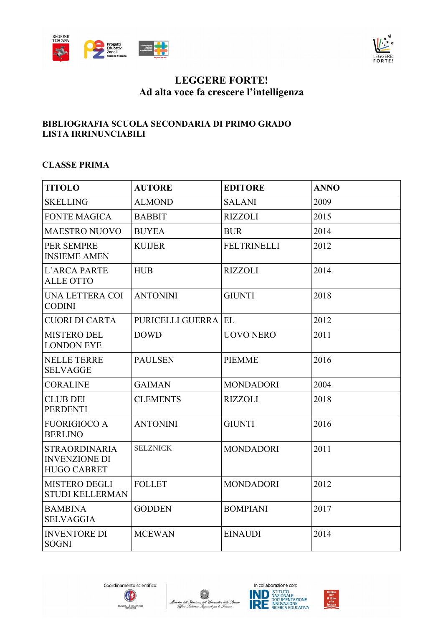



# **LEGGERE FORTE! Ad alta voce fa crescere l'intelligenza**

### **BIBLIOGRAFIA SCUOLA SECONDARIA DI PRIMO GRADO LISTA IRRINUNCIABILI**

#### **CLASSE PRIMA**

| <b>TITOLO</b>                                                      | <b>AUTORE</b>       | <b>EDITORE</b>     | <b>ANNO</b> |
|--------------------------------------------------------------------|---------------------|--------------------|-------------|
| <b>SKELLING</b>                                                    | <b>ALMOND</b>       | <b>SALANI</b>      | 2009        |
| <b>FONTE MAGICA</b>                                                | <b>BABBIT</b>       | <b>RIZZOLI</b>     | 2015        |
| <b>MAESTRO NUOVO</b>                                               | <b>BUYEA</b>        | <b>BUR</b>         | 2014        |
| PER SEMPRE<br><b>INSIEME AMEN</b>                                  | <b>KUIJER</b>       | <b>FELTRINELLI</b> | 2012        |
| L'ARCA PARTE<br><b>ALLE OTTO</b>                                   | <b>HUB</b>          | <b>RIZZOLI</b>     | 2014        |
| UNA LETTERA COI<br><b>CODINI</b>                                   | <b>ANTONINI</b>     | <b>GIUNTI</b>      | 2018        |
| <b>CUORI DI CARTA</b>                                              | PURICELLI GUERRA EL |                    | 2012        |
| <b>MISTERO DEL</b><br><b>LONDON EYE</b>                            | <b>DOWD</b>         | <b>UOVO NERO</b>   | 2011        |
| <b>NELLE TERRE</b><br><b>SELVAGGE</b>                              | <b>PAULSEN</b>      | <b>PIEMME</b>      | 2016        |
| <b>CORALINE</b>                                                    | <b>GAIMAN</b>       | <b>MONDADORI</b>   | 2004        |
| <b>CLUB DEI</b><br><b>PERDENTI</b>                                 | <b>CLEMENTS</b>     | <b>RIZZOLI</b>     | 2018        |
| <b>FUORIGIOCO A</b><br><b>BERLINO</b>                              | <b>ANTONINI</b>     | <b>GIUNTI</b>      | 2016        |
| <b>STRAORDINARIA</b><br><b>INVENZIONE DI</b><br><b>HUGO CABRET</b> | <b>SELZNICK</b>     | <b>MONDADORI</b>   | 2011        |
| <b>MISTERO DEGLI</b><br><b>STUDI KELLERMAN</b>                     | <b>FOLLET</b>       | <b>MONDADORI</b>   | 2012        |
| <b>BAMBINA</b><br><b>SELVAGGIA</b>                                 | <b>GODDEN</b>       | <b>BOMPIANI</b>    | 2017        |
| <b>INVENTORE DI</b><br><b>SOGNI</b>                                | <b>MCEWAN</b>       | <b>EINAUDI</b>     | 2014        |







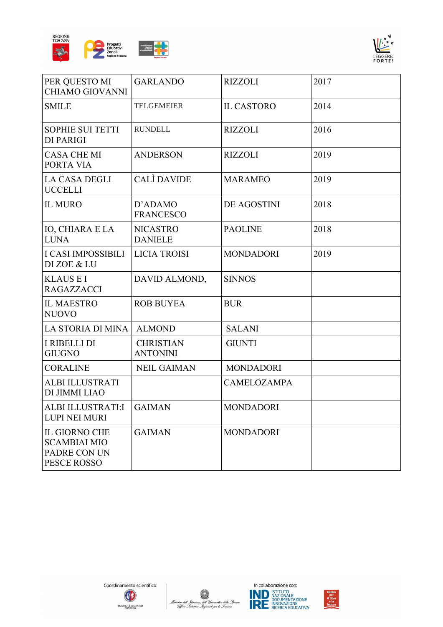



| PER QUESTO MI<br><b>CHIAMO GIOVANNI</b>                                    | <b>GARLANDO</b>                     | <b>RIZZOLI</b>     | 2017 |
|----------------------------------------------------------------------------|-------------------------------------|--------------------|------|
| <b>SMILE</b>                                                               | <b>TELGEMEIER</b>                   | <b>IL CASTORO</b>  | 2014 |
| <b>SOPHIE SUI TETTI</b><br><b>DI PARIGI</b>                                | <b>RUNDELL</b>                      | <b>RIZZOLI</b>     | 2016 |
| <b>CASA CHE MI</b><br>PORTA VIA                                            | <b>ANDERSON</b>                     | <b>RIZZOLI</b>     | 2019 |
| <b>LA CASA DEGLI</b><br><b>UCCELLI</b>                                     | <b>CALI</b> DAVIDE                  | <b>MARAMEO</b>     | 2019 |
| <b>IL MURO</b>                                                             | D'ADAMO<br><b>FRANCESCO</b>         | DE AGOSTINI        | 2018 |
| <b>IO, CHIARA E LA</b><br><b>LUNA</b>                                      | <b>NICASTRO</b><br><b>DANIELE</b>   | <b>PAOLINE</b>     | 2018 |
| <b>I CASI IMPOSSIBILI</b><br>DI ZOE & LU                                   | <b>LICIA TROISI</b>                 | <b>MONDADORI</b>   | 2019 |
| <b>KLAUS E I</b><br><b>RAGAZZACCI</b>                                      | DAVID ALMOND,                       | <b>SINNOS</b>      |      |
| <b>IL MAESTRO</b><br><b>NUOVO</b>                                          | <b>ROB BUYEA</b>                    | <b>BUR</b>         |      |
| LA STORIA DI MINA                                                          | <b>ALMOND</b>                       | <b>SALANI</b>      |      |
| <b>I RIBELLI DI</b><br><b>GIUGNO</b>                                       | <b>CHRISTIAN</b><br><b>ANTONINI</b> | <b>GIUNTI</b>      |      |
| <b>CORALINE</b>                                                            | <b>NEIL GAIMAN</b>                  | <b>MONDADORI</b>   |      |
| <b>ALBI ILLUSTRATI</b><br>DI JIMMI LIAO                                    |                                     | <b>CAMELOZAMPA</b> |      |
| ALBI ILLUSTRATI:I<br><b>LUPI NEI MURI</b>                                  | <b>GAIMAN</b>                       | <b>MONDADORI</b>   |      |
| <b>IL GIORNO CHE</b><br><b>SCAMBIAI MIO</b><br>PADRE CON UN<br>PESCE ROSSO | <b>GAIMAN</b>                       | <b>MONDADORI</b>   |      |







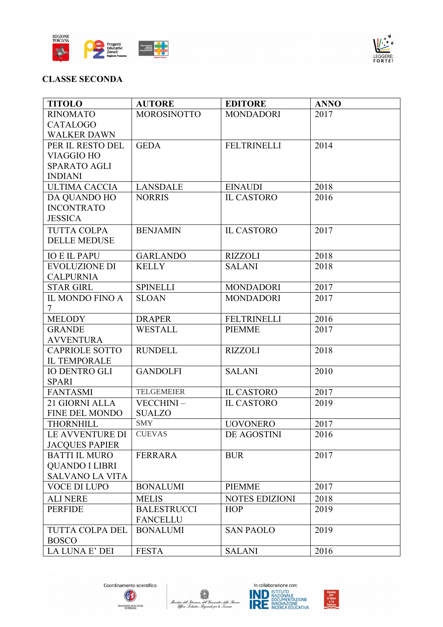



# **CLASSE SECONDA**

| <b>TITOLO</b>          | <b>AUTORE</b>                         | <b>EDITORE</b>        | <b>ANNO</b> |
|------------------------|---------------------------------------|-----------------------|-------------|
| <b>RINOMATO</b>        | <b>MOROSINOTTO</b>                    | <b>MONDADORI</b>      | 2017        |
| <b>CATALOGO</b>        |                                       |                       |             |
| <b>WALKER DAWN</b>     |                                       |                       |             |
| PER IL RESTO DEL       | <b>GEDA</b>                           | <b>FELTRINELLI</b>    | 2014        |
| <b>VIAGGIO HO</b>      |                                       |                       |             |
| <b>SPARATO AGLI</b>    |                                       |                       |             |
| <b>INDIANI</b>         |                                       |                       |             |
| <b>ULTIMA CACCIA</b>   | <b>LANSDALE</b>                       | <b>EINAUDI</b>        | 2018        |
| DA QUANDO HO           | <b>NORRIS</b>                         | <b>IL CASTORO</b>     | 2016        |
| <b>INCONTRATO</b>      |                                       |                       |             |
| <b>JESSICA</b>         |                                       |                       |             |
| <b>TUTTA COLPA</b>     | <b>BENJAMIN</b>                       | <b>IL CASTORO</b>     | 2017        |
| <b>DELLE MEDUSE</b>    |                                       |                       |             |
| <b>IO E IL PAPU</b>    | <b>GARLANDO</b>                       | <b>RIZZOLI</b>        | 2018        |
| <b>EVOLUZIONE DI</b>   | <b>KELLY</b>                          | <b>SALANI</b>         | 2018        |
| <b>CALPURNIA</b>       |                                       |                       |             |
| <b>STAR GIRL</b>       | <b>SPINELLI</b>                       | <b>MONDADORI</b>      | 2017        |
| IL MONDO FINO A        | <b>SLOAN</b>                          | <b>MONDADORI</b>      | 2017        |
| $\tau$                 |                                       |                       |             |
| <b>MELODY</b>          | <b>DRAPER</b>                         | <b>FELTRINELLI</b>    | 2016        |
| <b>GRANDE</b>          | <b>WESTALL</b>                        | <b>PIEMME</b>         | 2017        |
| <b>AVVENTURA</b>       |                                       |                       |             |
| <b>CAPRIOLE SOTTO</b>  | <b>RUNDELL</b>                        | <b>RIZZOLI</b>        | 2018        |
| <b>IL TEMPORALE</b>    |                                       |                       |             |
| <b>IO DENTRO GLI</b>   | <b>GANDOLFI</b>                       | <b>SALANI</b>         | 2010        |
| <b>SPARI</b>           |                                       |                       |             |
| <b>FANTASMI</b>        | <b>TELGEMEIER</b>                     | <b>IL CASTORO</b>     | 2017        |
| 21 GIORNI ALLA         | VECCHINI-                             | <b>IL CASTORO</b>     | 2019        |
| FINE DEL MONDO         | <b>SUALZO</b>                         |                       |             |
| <b>THORNHILL</b>       | <b>SMY</b>                            | <b>UOVONERO</b>       | 2017        |
| LE AVVENTURE DI        | <b>CUEVAS</b>                         | DE AGOSTINI           | 2016        |
| <b>JACQUES PAPIER</b>  |                                       |                       |             |
| <b>BATTI IL MURO</b>   | <b>FERRARA</b>                        | <b>BUR</b>            | 2017        |
| <b>QUANDO I LIBRI</b>  |                                       |                       |             |
| <b>SALVANO LA VITA</b> |                                       |                       |             |
| <b>VOCE DI LUPO</b>    | <b>BONALUMI</b>                       | <b>PIEMME</b>         | 2017        |
| <b>ALI NERE</b>        | <b>MELIS</b>                          | <b>NOTES EDIZIONI</b> | 2018        |
| <b>PERFIDE</b>         | <b>BALESTRUCCI</b><br><b>FANCELLU</b> | <b>HOP</b>            | 2019        |
| TUTTA COLPA DEL        | <b>BONALUMI</b>                       | <b>SAN PAOLO</b>      | 2019        |
| <b>BOSCO</b>           |                                       |                       |             |
| LA LUNA E' DEI         | <b>FESTA</b>                          | <b>SALANI</b>         | 2016        |







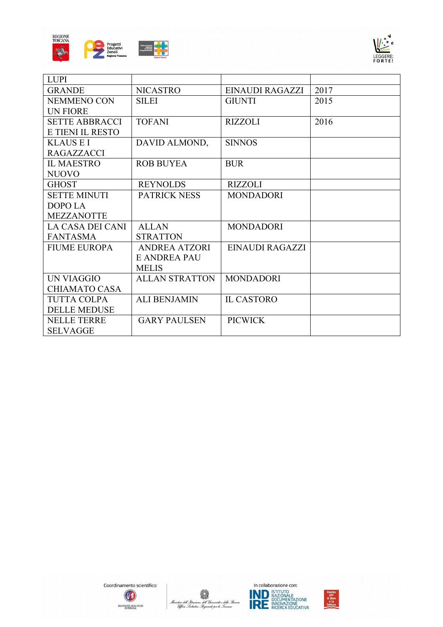



| <b>LUPI</b>           |                       |                        |      |
|-----------------------|-----------------------|------------------------|------|
| <b>GRANDE</b>         | <b>NICASTRO</b>       | <b>EINAUDI RAGAZZI</b> | 2017 |
| <b>NEMMENO CON</b>    | <b>SILEI</b>          | <b>GIUNTI</b>          | 2015 |
| <b>UN FIORE</b>       |                       |                        |      |
| <b>SETTE ABBRACCI</b> | <b>TOFANI</b>         | <b>RIZZOLI</b>         | 2016 |
| E TIENI IL RESTO      |                       |                        |      |
| <b>KLAUS E I</b>      | DAVID ALMOND,         | <b>SINNOS</b>          |      |
| <b>RAGAZZACCI</b>     |                       |                        |      |
| <b>IL MAESTRO</b>     | <b>ROB BUYEA</b>      | <b>BUR</b>             |      |
| <b>NUOVO</b>          |                       |                        |      |
| <b>GHOST</b>          | <b>REYNOLDS</b>       | <b>RIZZOLI</b>         |      |
| <b>SETTE MINUTI</b>   | <b>PATRICK NESS</b>   | <b>MONDADORI</b>       |      |
| DOPO LA               |                       |                        |      |
| <b>MEZZANOTTE</b>     |                       |                        |      |
| LA CASA DEI CANI      | <b>ALLAN</b>          | <b>MONDADORI</b>       |      |
| <b>FANTASMA</b>       | <b>STRATTON</b>       |                        |      |
| <b>FIUME EUROPA</b>   | ANDREA ATZORI         | EINAUDI RAGAZZI        |      |
|                       | <b>E ANDREA PAU</b>   |                        |      |
|                       | <b>MELIS</b>          |                        |      |
| UN VIAGGIO            | <b>ALLAN STRATTON</b> | <b>MONDADORI</b>       |      |
| <b>CHIAMATO CASA</b>  |                       |                        |      |
| <b>TUTTA COLPA</b>    | <b>ALI BENJAMIN</b>   | <b>IL CASTORO</b>      |      |
| <b>DELLE MEDUSE</b>   |                       |                        |      |
| <b>NELLE TERRE</b>    | <b>GARY PAULSEN</b>   | <b>PICWICK</b>         |      |
| <b>SELVAGGE</b>       |                       |                        |      |







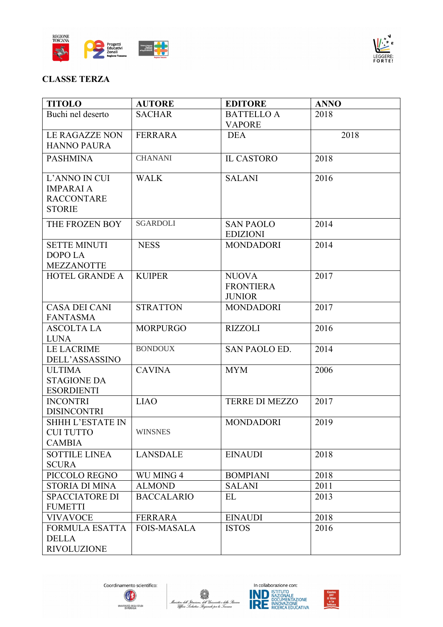



### **CLASSE TERZA**

| <b>TITOLO</b>                                                           | <b>AUTORE</b>      | <b>EDITORE</b>                                    | <b>ANNO</b> |
|-------------------------------------------------------------------------|--------------------|---------------------------------------------------|-------------|
| Buchi nel deserto                                                       | <b>SACHAR</b>      | <b>BATTELLO A</b><br><b>VAPORE</b>                | 2018        |
| <b>LE RAGAZZE NON</b><br><b>HANNO PAURA</b>                             | <b>FERRARA</b>     | <b>DEA</b>                                        | 2018        |
| <b>PASHMINA</b>                                                         | <b>CHANANI</b>     | <b>IL CASTORO</b>                                 | 2018        |
| L'ANNO IN CUI<br><b>IMPARAI A</b><br><b>RACCONTARE</b><br><b>STORIE</b> | <b>WALK</b>        | <b>SALANI</b>                                     | 2016        |
| THE FROZEN BOY                                                          | <b>SGARDOLI</b>    | <b>SAN PAOLO</b><br><b>EDIZIONI</b>               | 2014        |
| <b>SETTE MINUTI</b><br>DOPO LA<br><b>MEZZANOTTE</b>                     | <b>NESS</b>        | <b>MONDADORI</b>                                  | 2014        |
| <b>HOTEL GRANDE A</b>                                                   | <b>KUIPER</b>      | <b>NUOVA</b><br><b>FRONTIERA</b><br><b>JUNIOR</b> | 2017        |
| <b>CASA DEI CANI</b><br><b>FANTASMA</b>                                 | <b>STRATTON</b>    | <b>MONDADORI</b>                                  | 2017        |
| <b>ASCOLTA LA</b><br><b>LUNA</b>                                        | <b>MORPURGO</b>    | <b>RIZZOLI</b>                                    | 2016        |
| <b>LE LACRIME</b><br>DELL'ASSASSINO                                     | <b>BONDOUX</b>     | SAN PAOLO ED.                                     | 2014        |
| <b>ULTIMA</b><br><b>STAGIONE DA</b><br><b>ESORDIENTI</b>                | <b>CAVINA</b>      | <b>MYM</b>                                        | 2006        |
| <b>INCONTRI</b><br><b>DISINCONTRI</b>                                   | <b>LIAO</b>        | <b>TERRE DI MEZZO</b>                             | 2017        |
| <b>SHHH L'ESTATE IN</b><br>CUI TUTTO<br><b>CAMBIA</b>                   | WINSNES            | <b>MONDADORI</b>                                  | 2019        |
| <b>SOTTILE LINEA</b><br><b>SCURA</b>                                    | <b>LANSDALE</b>    | <b>EINAUDI</b>                                    | 2018        |
| PICCOLO REGNO                                                           | WU MING 4          | <b>BOMPIANI</b>                                   | 2018        |
| <b>STORIA DI MINA</b>                                                   | <b>ALMOND</b>      | <b>SALANI</b>                                     | 2011        |
| <b>SPACCIATORE DI</b><br><b>FUMETTI</b>                                 | <b>BACCALARIO</b>  | EL                                                | 2013        |
| <b>VIVAVOCE</b>                                                         | <b>FERRARA</b>     | <b>EINAUDI</b>                                    | 2018        |
| <b>FORMULA ESATTA</b><br><b>DELLA</b><br><b>RIVOLUZIONE</b>             | <b>FOIS-MASALA</b> | <b>ISTOS</b>                                      | 2016        |